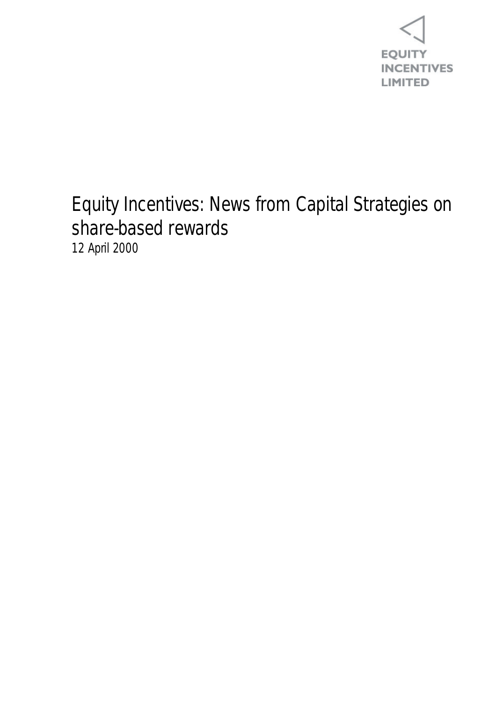

## Equity Incentives: News from Capital Strategies on share-based rewards 12 April 2000